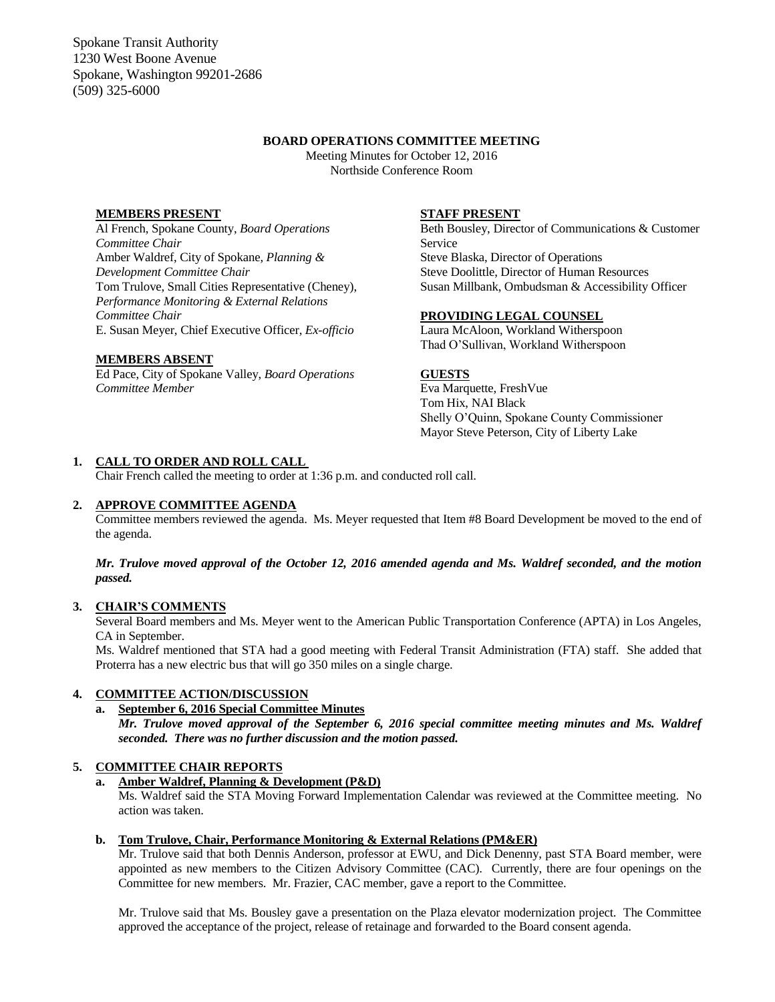Spokane Transit Authority 1230 West Boone Avenue Spokane, Washington 99201-2686 (509) 325-6000

### **BOARD OPERATIONS COMMITTEE MEETING**

Meeting Minutes for October 12, 2016 Northside Conference Room

## **MEMBERS PRESENT**

Al French, Spokane County, *Board Operations Committee Chair* Amber Waldref, City of Spokane, *Planning & Development Committee Chair* Tom Trulove, Small Cities Representative (Cheney), *Performance Monitoring & External Relations Committee Chair* E. Susan Meyer, Chief Executive Officer, *Ex-officio*

### **MEMBERS ABSENT**

Ed Pace, City of Spokane Valley, *Board Operations Committee Member*

### **STAFF PRESENT**

Beth Bousley, Director of Communications & Customer Service Steve Blaska, Director of Operations Steve Doolittle, Director of Human Resources Susan Millbank, Ombudsman & Accessibility Officer

### **PROVIDING LEGAL COUNSEL**

Laura McAloon, Workland Witherspoon Thad O'Sullivan, Workland Witherspoon

#### **GUESTS**

Eva Marquette, FreshVue Tom Hix, NAI Black Shelly O'Quinn, Spokane County Commissioner Mayor Steve Peterson, City of Liberty Lake

### **1. CALL TO ORDER AND ROLL CALL**

Chair French called the meeting to order at 1:36 p.m. and conducted roll call.

## **2. APPROVE COMMITTEE AGENDA**

Committee members reviewed the agenda. Ms. Meyer requested that Item #8 Board Development be moved to the end of the agenda.

## *Mr. Trulove moved approval of the October 12, 2016 amended agenda and Ms. Waldref seconded, and the motion passed.*

# **3. CHAIR'S COMMENTS**

Several Board members and Ms. Meyer went to the American Public Transportation Conference (APTA) in Los Angeles, CA in September.

Ms. Waldref mentioned that STA had a good meeting with Federal Transit Administration (FTA) staff. She added that Proterra has a new electric bus that will go 350 miles on a single charge.

## **4. COMMITTEE ACTION/DISCUSSION**

# **a. September 6, 2016 Special Committee Minutes**

*Mr. Trulove moved approval of the September 6, 2016 special committee meeting minutes and Ms. Waldref seconded. There was no further discussion and the motion passed.*

### **5. COMMITTEE CHAIR REPORTS**

### **a. Amber Waldref, Planning & Development (P&D)**

Ms. Waldref said the STA Moving Forward Implementation Calendar was reviewed at the Committee meeting. No action was taken.

#### **b. Tom Trulove, Chair, Performance Monitoring & External Relations (PM&ER)**

Mr. Trulove said that both Dennis Anderson, professor at EWU, and Dick Denenny, past STA Board member, were appointed as new members to the Citizen Advisory Committee (CAC). Currently, there are four openings on the Committee for new members. Mr. Frazier, CAC member, gave a report to the Committee.

Mr. Trulove said that Ms. Bousley gave a presentation on the Plaza elevator modernization project. The Committee approved the acceptance of the project, release of retainage and forwarded to the Board consent agenda.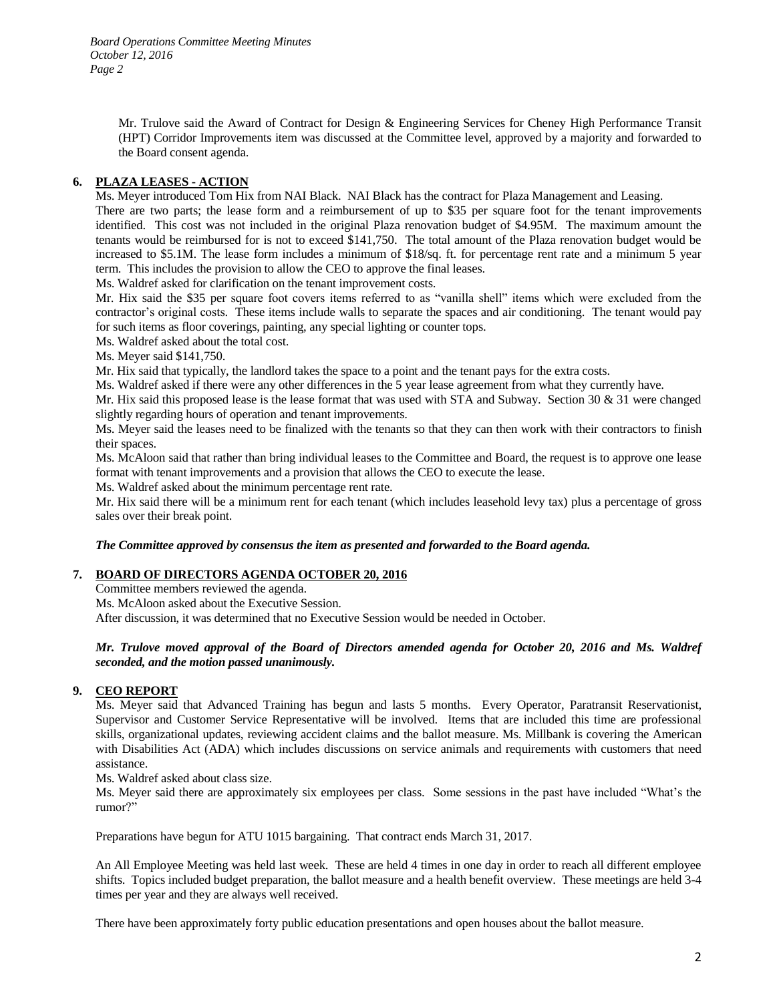Mr. Trulove said the Award of Contract for Design & Engineering Services for Cheney High Performance Transit (HPT) Corridor Improvements item was discussed at the Committee level, approved by a majority and forwarded to the Board consent agenda.

# **6. PLAZA LEASES - ACTION**

Ms. Meyer introduced Tom Hix from NAI Black. NAI Black has the contract for Plaza Management and Leasing.

There are two parts; the lease form and a reimbursement of up to \$35 per square foot for the tenant improvements identified. This cost was not included in the original Plaza renovation budget of \$4.95M. The maximum amount the tenants would be reimbursed for is not to exceed \$141,750. The total amount of the Plaza renovation budget would be increased to \$5.1M. The lease form includes a minimum of \$18/sq. ft. for percentage rent rate and a minimum 5 year term. This includes the provision to allow the CEO to approve the final leases.

Ms. Waldref asked for clarification on the tenant improvement costs.

Mr. Hix said the \$35 per square foot covers items referred to as "vanilla shell" items which were excluded from the contractor's original costs. These items include walls to separate the spaces and air conditioning. The tenant would pay for such items as floor coverings, painting, any special lighting or counter tops.

Ms. Waldref asked about the total cost.

Ms. Meyer said \$141,750.

Mr. Hix said that typically, the landlord takes the space to a point and the tenant pays for the extra costs.

Ms. Waldref asked if there were any other differences in the 5 year lease agreement from what they currently have.

Mr. Hix said this proposed lease is the lease format that was used with STA and Subway. Section 30 & 31 were changed slightly regarding hours of operation and tenant improvements.

Ms. Meyer said the leases need to be finalized with the tenants so that they can then work with their contractors to finish their spaces.

Ms. McAloon said that rather than bring individual leases to the Committee and Board, the request is to approve one lease format with tenant improvements and a provision that allows the CEO to execute the lease.

Ms. Waldref asked about the minimum percentage rent rate.

Mr. Hix said there will be a minimum rent for each tenant (which includes leasehold levy tax) plus a percentage of gross sales over their break point.

## *The Committee approved by consensus the item as presented and forwarded to the Board agenda.*

## **7. BOARD OF DIRECTORS AGENDA OCTOBER 20, 2016**

Committee members reviewed the agenda.

Ms. McAloon asked about the Executive Session.

After discussion, it was determined that no Executive Session would be needed in October.

## *Mr. Trulove moved approval of the Board of Directors amended agenda for October 20, 2016 and Ms. Waldref seconded, and the motion passed unanimously.*

# **9. CEO REPORT**

Ms. Meyer said that Advanced Training has begun and lasts 5 months. Every Operator, Paratransit Reservationist, Supervisor and Customer Service Representative will be involved. Items that are included this time are professional skills, organizational updates, reviewing accident claims and the ballot measure. Ms. Millbank is covering the American with Disabilities Act (ADA) which includes discussions on service animals and requirements with customers that need assistance.

Ms. Waldref asked about class size.

Ms. Meyer said there are approximately six employees per class. Some sessions in the past have included "What's the rumor?"

Preparations have begun for ATU 1015 bargaining. That contract ends March 31, 2017.

An All Employee Meeting was held last week. These are held 4 times in one day in order to reach all different employee shifts. Topics included budget preparation, the ballot measure and a health benefit overview. These meetings are held 3-4 times per year and they are always well received.

There have been approximately forty public education presentations and open houses about the ballot measure.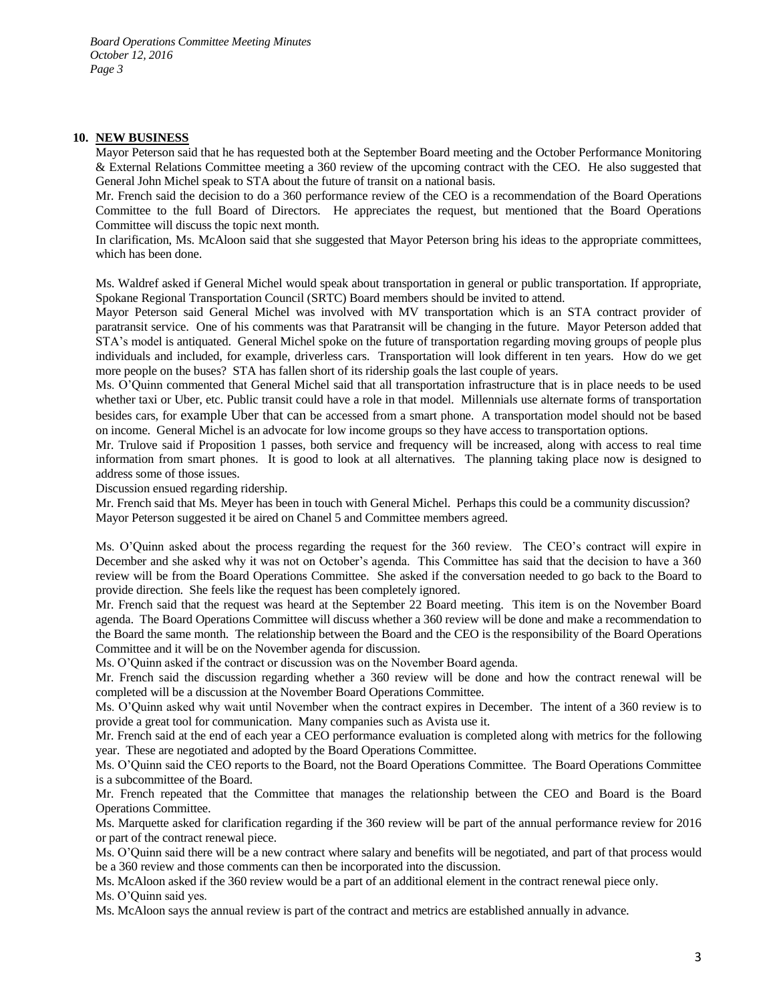#### **10. NEW BUSINESS**

Mayor Peterson said that he has requested both at the September Board meeting and the October Performance Monitoring & External Relations Committee meeting a 360 review of the upcoming contract with the CEO. He also suggested that General John Michel speak to STA about the future of transit on a national basis.

Mr. French said the decision to do a 360 performance review of the CEO is a recommendation of the Board Operations Committee to the full Board of Directors. He appreciates the request, but mentioned that the Board Operations Committee will discuss the topic next month.

In clarification, Ms. McAloon said that she suggested that Mayor Peterson bring his ideas to the appropriate committees, which has been done.

Ms. Waldref asked if General Michel would speak about transportation in general or public transportation. If appropriate, Spokane Regional Transportation Council (SRTC) Board members should be invited to attend.

Mayor Peterson said General Michel was involved with MV transportation which is an STA contract provider of paratransit service. One of his comments was that Paratransit will be changing in the future. Mayor Peterson added that STA's model is antiquated. General Michel spoke on the future of transportation regarding moving groups of people plus individuals and included, for example, driverless cars. Transportation will look different in ten years. How do we get more people on the buses? STA has fallen short of its ridership goals the last couple of years.

Ms. O'Quinn commented that General Michel said that all transportation infrastructure that is in place needs to be used whether taxi or Uber, etc. Public transit could have a role in that model. Millennials use alternate forms of transportation besides cars, for example Uber that can be accessed from a smart phone. A transportation model should not be based on income. General Michel is an advocate for low income groups so they have access to transportation options.

Mr. Trulove said if Proposition 1 passes, both service and frequency will be increased, along with access to real time information from smart phones. It is good to look at all alternatives. The planning taking place now is designed to address some of those issues.

Discussion ensued regarding ridership.

Mr. French said that Ms. Meyer has been in touch with General Michel. Perhaps this could be a community discussion? Mayor Peterson suggested it be aired on Chanel 5 and Committee members agreed.

Ms. O'Quinn asked about the process regarding the request for the 360 review. The CEO's contract will expire in December and she asked why it was not on October's agenda. This Committee has said that the decision to have a 360 review will be from the Board Operations Committee. She asked if the conversation needed to go back to the Board to provide direction. She feels like the request has been completely ignored.

Mr. French said that the request was heard at the September 22 Board meeting. This item is on the November Board agenda. The Board Operations Committee will discuss whether a 360 review will be done and make a recommendation to the Board the same month. The relationship between the Board and the CEO is the responsibility of the Board Operations Committee and it will be on the November agenda for discussion.

Ms. O'Quinn asked if the contract or discussion was on the November Board agenda.

Mr. French said the discussion regarding whether a 360 review will be done and how the contract renewal will be completed will be a discussion at the November Board Operations Committee.

Ms. O'Quinn asked why wait until November when the contract expires in December. The intent of a 360 review is to provide a great tool for communication. Many companies such as Avista use it.

Mr. French said at the end of each year a CEO performance evaluation is completed along with metrics for the following year. These are negotiated and adopted by the Board Operations Committee.

Ms. O'Quinn said the CEO reports to the Board, not the Board Operations Committee. The Board Operations Committee is a subcommittee of the Board.

Mr. French repeated that the Committee that manages the relationship between the CEO and Board is the Board Operations Committee.

Ms. Marquette asked for clarification regarding if the 360 review will be part of the annual performance review for 2016 or part of the contract renewal piece.

Ms. O'Quinn said there will be a new contract where salary and benefits will be negotiated, and part of that process would be a 360 review and those comments can then be incorporated into the discussion.

Ms. McAloon asked if the 360 review would be a part of an additional element in the contract renewal piece only.

Ms. O'Quinn said yes.

Ms. McAloon says the annual review is part of the contract and metrics are established annually in advance.